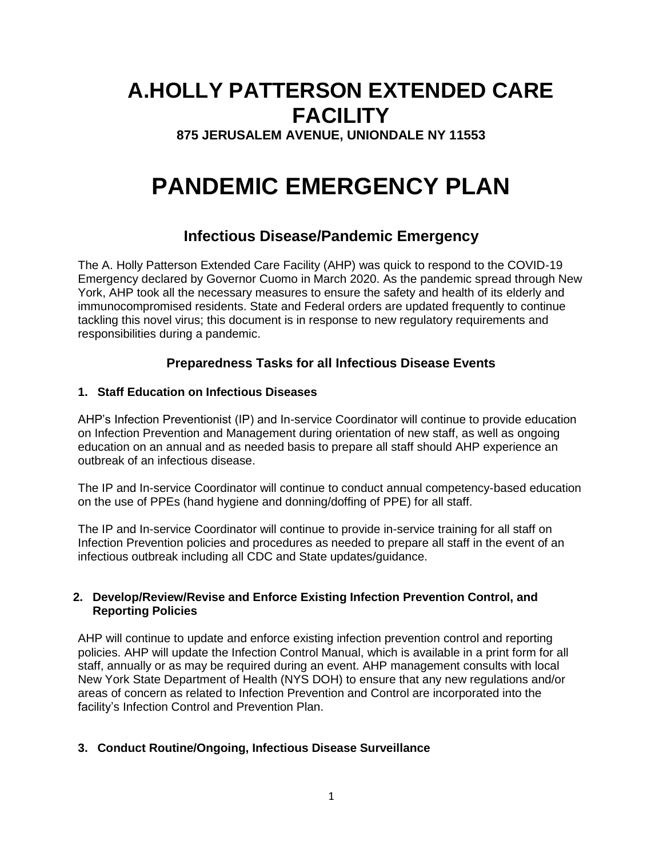## **A.HOLLY PATTERSON EXTENDED CARE FACILITY**

**875 JERUSALEM AVENUE, UNIONDALE NY 11553**

# **PANDEMIC EMERGENCY PLAN**

## **Infectious Disease/Pandemic Emergency**

The A. Holly Patterson Extended Care Facility (AHP) was quick to respond to the COVID-19 Emergency declared by Governor Cuomo in March 2020. As the pandemic spread through New York, AHP took all the necessary measures to ensure the safety and health of its elderly and immunocompromised residents. State and Federal orders are updated frequently to continue tackling this novel virus; this document is in response to new regulatory requirements and responsibilities during a pandemic.

## **Preparedness Tasks for all Infectious Disease Events**

## **1. Staff Education on Infectious Diseases**

AHP's Infection Preventionist (IP) and In-service Coordinator will continue to provide education on Infection Prevention and Management during orientation of new staff, as well as ongoing education on an annual and as needed basis to prepare all staff should AHP experience an outbreak of an infectious disease.

The IP and In-service Coordinator will continue to conduct annual competency-based education on the use of PPEs (hand hygiene and donning/doffing of PPE) for all staff.

The IP and In-service Coordinator will continue to provide in-service training for all staff on Infection Prevention policies and procedures as needed to prepare all staff in the event of an infectious outbreak including all CDC and State updates/guidance.

## **2. Develop/Review/Revise and Enforce Existing Infection Prevention Control, and Reporting Policies**

AHP will continue to update and enforce existing infection prevention control and reporting policies. AHP will update the Infection Control Manual, which is available in a print form for all staff, annually or as may be required during an event. AHP management consults with local New York State Department of Health (NYS DOH) to ensure that any new regulations and/or areas of concern as related to Infection Prevention and Control are incorporated into the facility's Infection Control and Prevention Plan.

## **3. Conduct Routine/Ongoing, Infectious Disease Surveillance**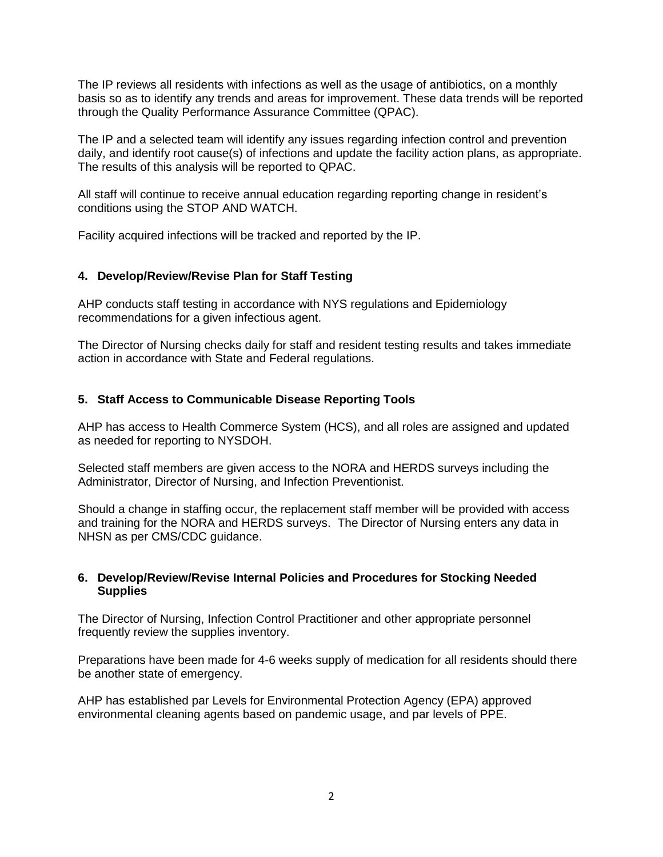The IP reviews all residents with infections as well as the usage of antibiotics, on a monthly basis so as to identify any trends and areas for improvement. These data trends will be reported through the Quality Performance Assurance Committee (QPAC).

The IP and a selected team will identify any issues regarding infection control and prevention daily, and identify root cause(s) of infections and update the facility action plans, as appropriate. The results of this analysis will be reported to QPAC.

All staff will continue to receive annual education regarding reporting change in resident's conditions using the STOP AND WATCH.

Facility acquired infections will be tracked and reported by the IP.

## **4. Develop/Review/Revise Plan for Staff Testing**

AHP conducts staff testing in accordance with NYS regulations and Epidemiology recommendations for a given infectious agent.

The Director of Nursing checks daily for staff and resident testing results and takes immediate action in accordance with State and Federal regulations.

## **5. Staff Access to Communicable Disease Reporting Tools**

AHP has access to Health Commerce System (HCS), and all roles are assigned and updated as needed for reporting to NYSDOH.

Selected staff members are given access to the NORA and HERDS surveys including the Administrator, Director of Nursing, and Infection Preventionist.

Should a change in staffing occur, the replacement staff member will be provided with access and training for the NORA and HERDS surveys. The Director of Nursing enters any data in NHSN as per CMS/CDC guidance.

## **6. Develop/Review/Revise Internal Policies and Procedures for Stocking Needed Supplies**

The Director of Nursing, Infection Control Practitioner and other appropriate personnel frequently review the supplies inventory.

Preparations have been made for 4-6 weeks supply of medication for all residents should there be another state of emergency.

AHP has established par Levels for Environmental Protection Agency (EPA) approved environmental cleaning agents based on pandemic usage, and par levels of PPE.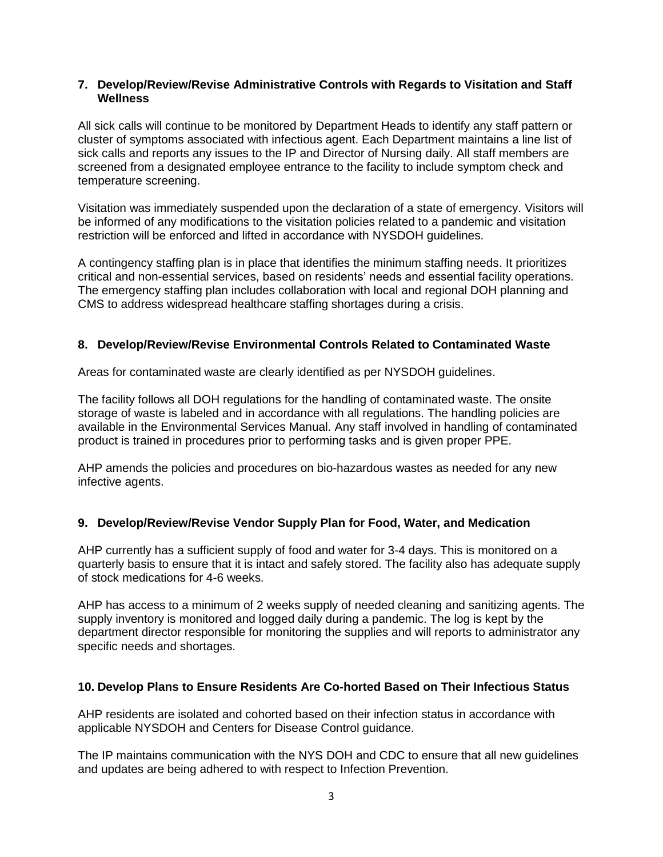#### **7. Develop/Review/Revise Administrative Controls with Regards to Visitation and Staff Wellness**

All sick calls will continue to be monitored by Department Heads to identify any staff pattern or cluster of symptoms associated with infectious agent. Each Department maintains a line list of sick calls and reports any issues to the IP and Director of Nursing daily. All staff members are screened from a designated employee entrance to the facility to include symptom check and temperature screening.

Visitation was immediately suspended upon the declaration of a state of emergency. Visitors will be informed of any modifications to the visitation policies related to a pandemic and visitation restriction will be enforced and lifted in accordance with NYSDOH guidelines.

A contingency staffing plan is in place that identifies the minimum staffing needs. It prioritizes critical and non-essential services, based on residents' needs and essential facility operations. The emergency staffing plan includes collaboration with local and regional DOH planning and CMS to address widespread healthcare staffing shortages during a crisis.

## **8. Develop/Review/Revise Environmental Controls Related to Contaminated Waste**

Areas for contaminated waste are clearly identified as per NYSDOH guidelines.

The facility follows all DOH regulations for the handling of contaminated waste. The onsite storage of waste is labeled and in accordance with all regulations. The handling policies are available in the Environmental Services Manual. Any staff involved in handling of contaminated product is trained in procedures prior to performing tasks and is given proper PPE.

AHP amends the policies and procedures on bio-hazardous wastes as needed for any new infective agents.

## **9. Develop/Review/Revise Vendor Supply Plan for Food, Water, and Medication**

AHP currently has a sufficient supply of food and water for 3-4 days. This is monitored on a quarterly basis to ensure that it is intact and safely stored. The facility also has adequate supply of stock medications for 4-6 weeks.

AHP has access to a minimum of 2 weeks supply of needed cleaning and sanitizing agents. The supply inventory is monitored and logged daily during a pandemic. The log is kept by the department director responsible for monitoring the supplies and will reports to administrator any specific needs and shortages.

## **10. Develop Plans to Ensure Residents Are Co-horted Based on Their Infectious Status**

AHP residents are isolated and cohorted based on their infection status in accordance with applicable NYSDOH and Centers for Disease Control guidance.

The IP maintains communication with the NYS DOH and CDC to ensure that all new guidelines and updates are being adhered to with respect to Infection Prevention.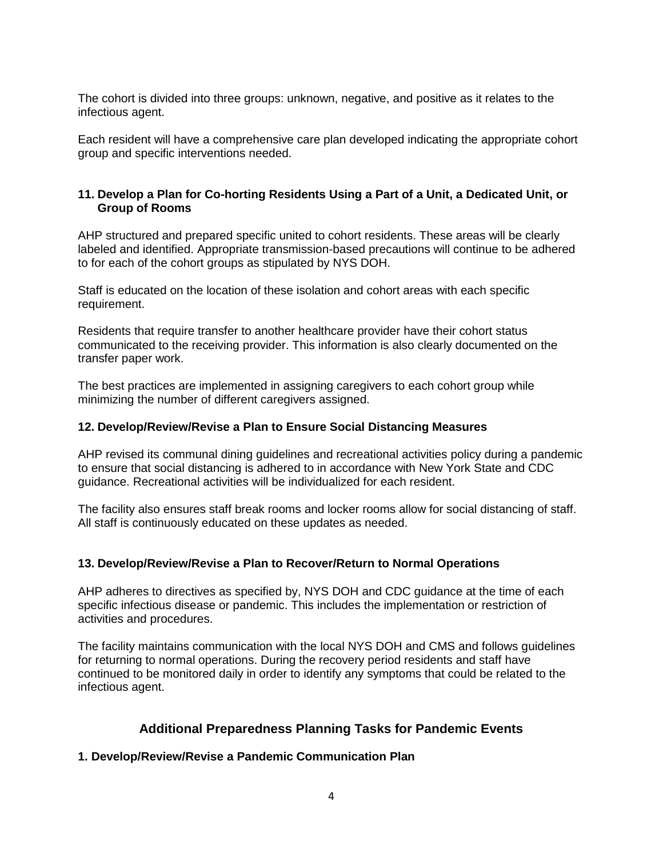The cohort is divided into three groups: unknown, negative, and positive as it relates to the infectious agent.

Each resident will have a comprehensive care plan developed indicating the appropriate cohort group and specific interventions needed.

## **11. Develop a Plan for Co-horting Residents Using a Part of a Unit, a Dedicated Unit, or Group of Rooms**

AHP structured and prepared specific united to cohort residents. These areas will be clearly labeled and identified. Appropriate transmission-based precautions will continue to be adhered to for each of the cohort groups as stipulated by NYS DOH.

Staff is educated on the location of these isolation and cohort areas with each specific requirement.

Residents that require transfer to another healthcare provider have their cohort status communicated to the receiving provider. This information is also clearly documented on the transfer paper work.

The best practices are implemented in assigning caregivers to each cohort group while minimizing the number of different caregivers assigned.

## **12. Develop/Review/Revise a Plan to Ensure Social Distancing Measures**

AHP revised its communal dining guidelines and recreational activities policy during a pandemic to ensure that social distancing is adhered to in accordance with New York State and CDC guidance. Recreational activities will be individualized for each resident.

The facility also ensures staff break rooms and locker rooms allow for social distancing of staff. All staff is continuously educated on these updates as needed.

#### **13. Develop/Review/Revise a Plan to Recover/Return to Normal Operations**

AHP adheres to directives as specified by, NYS DOH and CDC guidance at the time of each specific infectious disease or pandemic. This includes the implementation or restriction of activities and procedures.

The facility maintains communication with the local NYS DOH and CMS and follows guidelines for returning to normal operations. During the recovery period residents and staff have continued to be monitored daily in order to identify any symptoms that could be related to the infectious agent.

## **Additional Preparedness Planning Tasks for Pandemic Events**

**1. Develop/Review/Revise a Pandemic Communication Plan**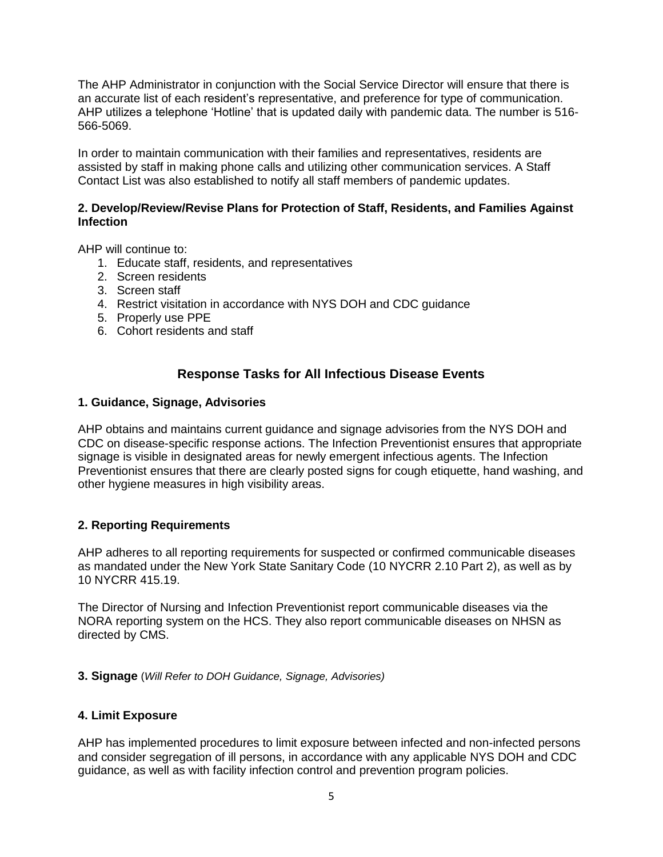The AHP Administrator in conjunction with the Social Service Director will ensure that there is an accurate list of each resident's representative, and preference for type of communication. AHP utilizes a telephone 'Hotline' that is updated daily with pandemic data. The number is 516- 566-5069.

In order to maintain communication with their families and representatives, residents are assisted by staff in making phone calls and utilizing other communication services. A Staff Contact List was also established to notify all staff members of pandemic updates.

## **2. Develop/Review/Revise Plans for Protection of Staff, Residents, and Families Against Infection**

AHP will continue to:

- 1. Educate staff, residents, and representatives
- 2. Screen residents
- 3. Screen staff
- 4. Restrict visitation in accordance with NYS DOH and CDC guidance
- 5. Properly use PPE
- 6. Cohort residents and staff

## **Response Tasks for All Infectious Disease Events**

## **1. Guidance, Signage, Advisories**

AHP obtains and maintains current guidance and signage advisories from the NYS DOH and CDC on disease-specific response actions. The Infection Preventionist ensures that appropriate signage is visible in designated areas for newly emergent infectious agents. The Infection Preventionist ensures that there are clearly posted signs for cough etiquette, hand washing, and other hygiene measures in high visibility areas.

## **2. Reporting Requirements**

AHP adheres to all reporting requirements for suspected or confirmed communicable diseases as mandated under the New York State Sanitary Code (10 NYCRR 2.10 Part 2), as well as by 10 NYCRR 415.19.

The Director of Nursing and Infection Preventionist report communicable diseases via the NORA reporting system on the HCS. They also report communicable diseases on NHSN as directed by CMS.

## **3. Signage** (*Will Refer to DOH Guidance, Signage, Advisories)*

## **4. Limit Exposure**

AHP has implemented procedures to limit exposure between infected and non-infected persons and consider segregation of ill persons, in accordance with any applicable NYS DOH and CDC guidance, as well as with facility infection control and prevention program policies.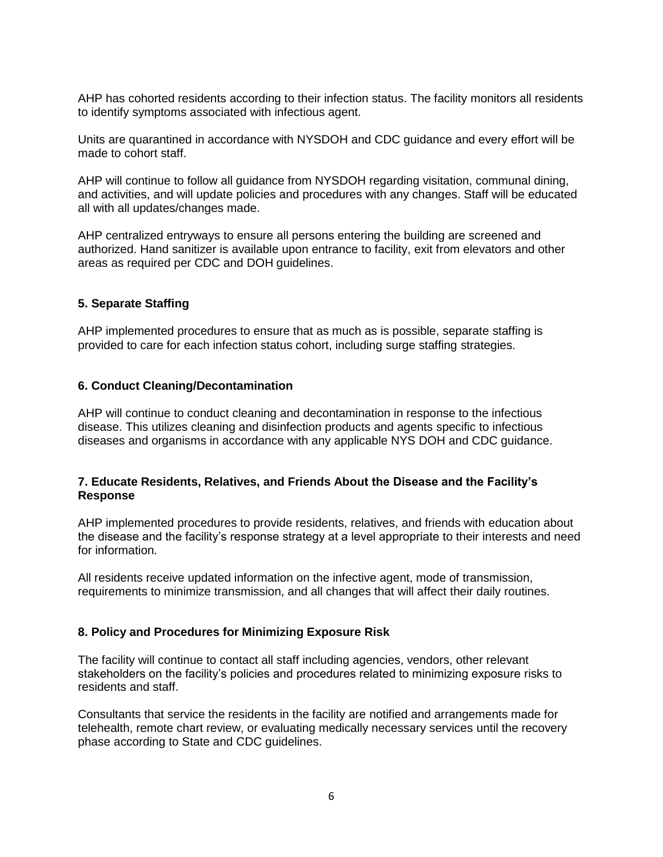AHP has cohorted residents according to their infection status. The facility monitors all residents to identify symptoms associated with infectious agent.

Units are quarantined in accordance with NYSDOH and CDC guidance and every effort will be made to cohort staff.

AHP will continue to follow all guidance from NYSDOH regarding visitation, communal dining, and activities, and will update policies and procedures with any changes. Staff will be educated all with all updates/changes made.

AHP centralized entryways to ensure all persons entering the building are screened and authorized. Hand sanitizer is available upon entrance to facility, exit from elevators and other areas as required per CDC and DOH guidelines.

#### **5. Separate Staffing**

AHP implemented procedures to ensure that as much as is possible, separate staffing is provided to care for each infection status cohort, including surge staffing strategies.

#### **6. Conduct Cleaning/Decontamination**

AHP will continue to conduct cleaning and decontamination in response to the infectious disease. This utilizes cleaning and disinfection products and agents specific to infectious diseases and organisms in accordance with any applicable NYS DOH and CDC guidance.

#### **7. Educate Residents, Relatives, and Friends About the Disease and the Facility's Response**

AHP implemented procedures to provide residents, relatives, and friends with education about the disease and the facility's response strategy at a level appropriate to their interests and need for information.

All residents receive updated information on the infective agent, mode of transmission, requirements to minimize transmission, and all changes that will affect their daily routines.

#### **8. Policy and Procedures for Minimizing Exposure Risk**

The facility will continue to contact all staff including agencies, vendors, other relevant stakeholders on the facility's policies and procedures related to minimizing exposure risks to residents and staff.

Consultants that service the residents in the facility are notified and arrangements made for telehealth, remote chart review, or evaluating medically necessary services until the recovery phase according to State and CDC guidelines.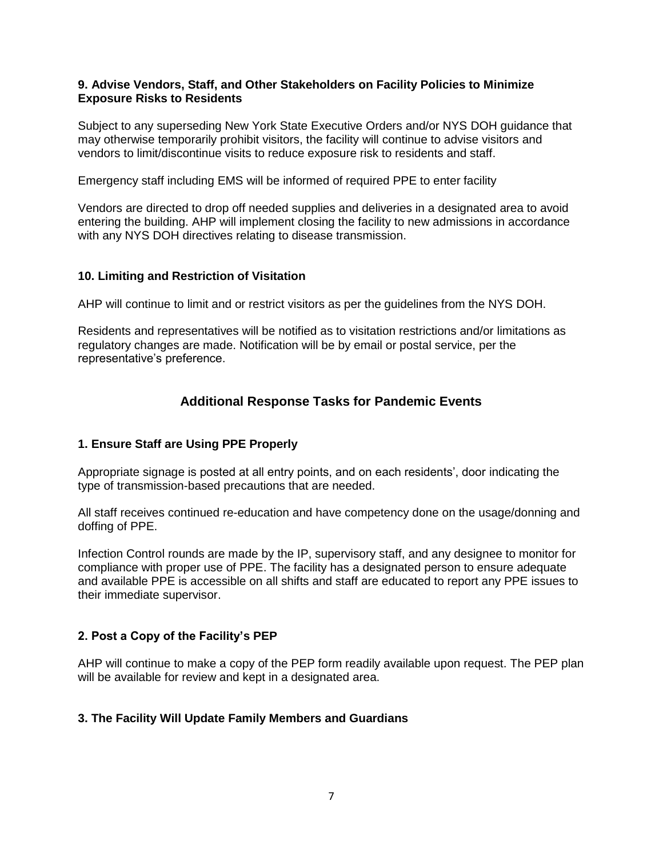#### **9. Advise Vendors, Staff, and Other Stakeholders on Facility Policies to Minimize Exposure Risks to Residents**

Subject to any superseding New York State Executive Orders and/or NYS DOH guidance that may otherwise temporarily prohibit visitors, the facility will continue to advise visitors and vendors to limit/discontinue visits to reduce exposure risk to residents and staff.

Emergency staff including EMS will be informed of required PPE to enter facility

Vendors are directed to drop off needed supplies and deliveries in a designated area to avoid entering the building. AHP will implement closing the facility to new admissions in accordance with any NYS DOH directives relating to disease transmission.

## **10. Limiting and Restriction of Visitation**

AHP will continue to limit and or restrict visitors as per the guidelines from the NYS DOH.

Residents and representatives will be notified as to visitation restrictions and/or limitations as regulatory changes are made. Notification will be by email or postal service, per the representative's preference.

## **Additional Response Tasks for Pandemic Events**

## **1. Ensure Staff are Using PPE Properly**

Appropriate signage is posted at all entry points, and on each residents', door indicating the type of transmission-based precautions that are needed.

All staff receives continued re-education and have competency done on the usage/donning and doffing of PPE.

Infection Control rounds are made by the IP, supervisory staff, and any designee to monitor for compliance with proper use of PPE. The facility has a designated person to ensure adequate and available PPE is accessible on all shifts and staff are educated to report any PPE issues to their immediate supervisor.

## **2. Post a Copy of the Facility's PEP**

AHP will continue to make a copy of the PEP form readily available upon request. The PEP plan will be available for review and kept in a designated area.

## **3. The Facility Will Update Family Members and Guardians**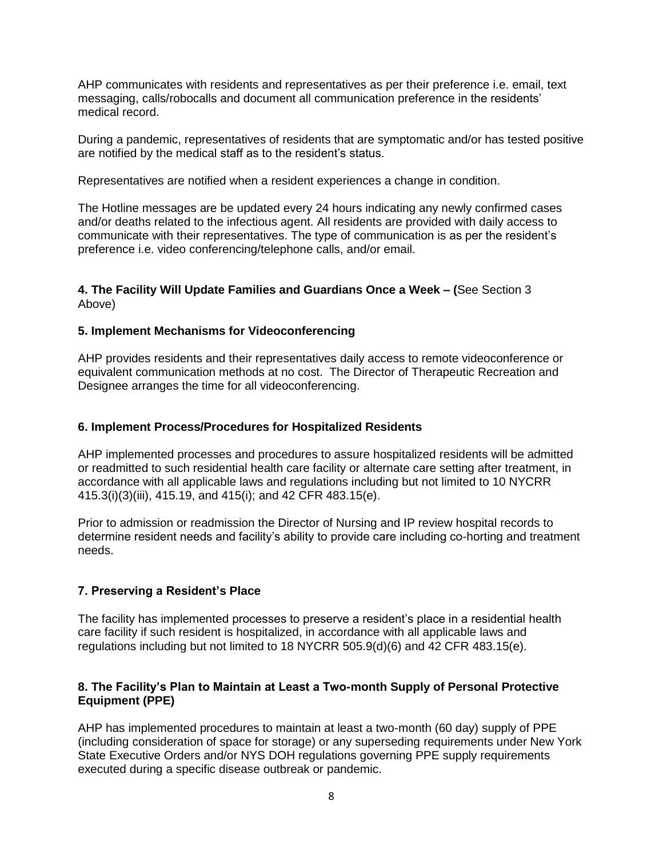AHP communicates with residents and representatives as per their preference i.e. email, text messaging, calls/robocalls and document all communication preference in the residents' medical record.

During a pandemic, representatives of residents that are symptomatic and/or has tested positive are notified by the medical staff as to the resident's status.

Representatives are notified when a resident experiences a change in condition.

The Hotline messages are be updated every 24 hours indicating any newly confirmed cases and/or deaths related to the infectious agent. All residents are provided with daily access to communicate with their representatives. The type of communication is as per the resident's preference i.e. video conferencing/telephone calls, and/or email.

## **4. The Facility Will Update Families and Guardians Once a Week – (**See Section 3 Above)

## **5. Implement Mechanisms for Videoconferencing**

AHP provides residents and their representatives daily access to remote videoconference or equivalent communication methods at no cost. The Director of Therapeutic Recreation and Designee arranges the time for all videoconferencing.

## **6. Implement Process/Procedures for Hospitalized Residents**

AHP implemented processes and procedures to assure hospitalized residents will be admitted or readmitted to such residential health care facility or alternate care setting after treatment, in accordance with all applicable laws and regulations including but not limited to 10 NYCRR 415.3(i)(3)(iii), 415.19, and 415(i); and 42 CFR 483.15(e).

Prior to admission or readmission the Director of Nursing and IP review hospital records to determine resident needs and facility's ability to provide care including co-horting and treatment needs.

## **7. Preserving a Resident's Place**

The facility has implemented processes to preserve a resident's place in a residential health care facility if such resident is hospitalized, in accordance with all applicable laws and regulations including but not limited to 18 NYCRR 505.9(d)(6) and 42 CFR 483.15(e).

## **8. The Facility's Plan to Maintain at Least a Two-month Supply of Personal Protective Equipment (PPE)**

AHP has implemented procedures to maintain at least a two-month (60 day) supply of PPE (including consideration of space for storage) or any superseding requirements under New York State Executive Orders and/or NYS DOH regulations governing PPE supply requirements executed during a specific disease outbreak or pandemic.